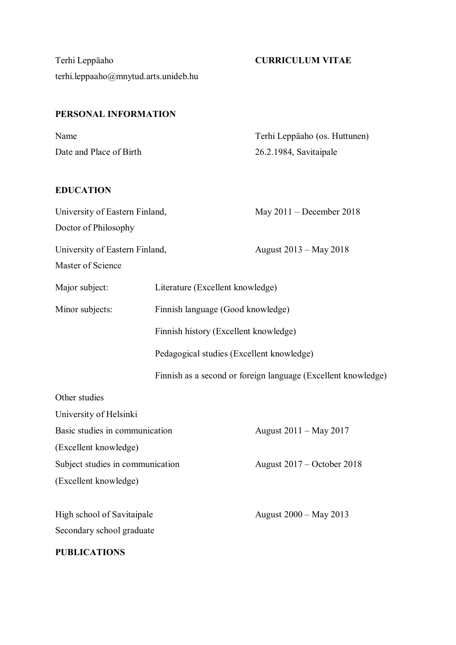Terhi Leppäaho **CURRICULUM VITAE** terhi.leppaaho@mnytud.arts.unideb.hu

# **PERSONAL INFORMATION**

| Name                    | Terhi Leppäaho (os. Huttunen) |
|-------------------------|-------------------------------|
| Date and Place of Birth | 26.2.1984, Savitaipale        |

# **EDUCATION**

| University of Eastern Finland,   |                                           | May 2011 - December 2018                                      |
|----------------------------------|-------------------------------------------|---------------------------------------------------------------|
| Doctor of Philosophy             |                                           |                                                               |
| University of Eastern Finland,   |                                           | August 2013 – May 2018                                        |
| Master of Science                |                                           |                                                               |
| Major subject:                   | Literature (Excellent knowledge)          |                                                               |
| Minor subjects:                  | Finnish language (Good knowledge)         |                                                               |
|                                  | Finnish history (Excellent knowledge)     |                                                               |
|                                  | Pedagogical studies (Excellent knowledge) |                                                               |
|                                  |                                           | Finnish as a second or foreign language (Excellent knowledge) |
| Other studies                    |                                           |                                                               |
| University of Helsinki           |                                           |                                                               |
| Basic studies in communication   |                                           | August 2011 – May 2017                                        |
| (Excellent knowledge)            |                                           |                                                               |
| Subject studies in communication |                                           | August 2017 – October 2018                                    |
| (Excellent knowledge)            |                                           |                                                               |
| High school of Savitaipale       |                                           | August 2000 - May 2013                                        |
| Secondary school graduate        |                                           |                                                               |

# **PUBLICATIONS**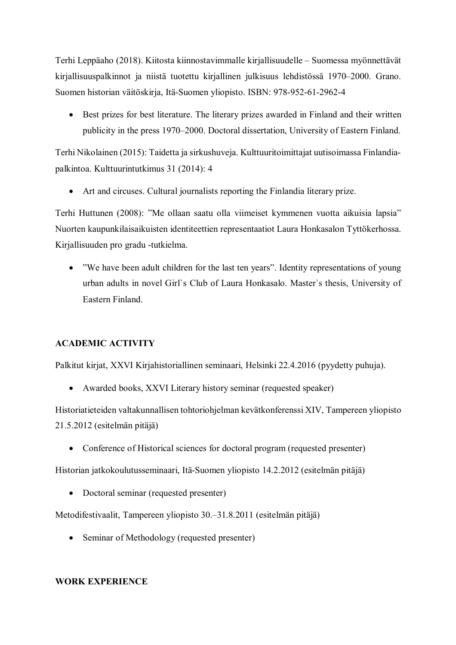Terhi Leppäaho (2018). Kiitosta kiinnostavimmalle kirjallisuudelle – Suomessa myönnettävät kirjallisuuspalkinnot ja niistä tuotettu kirjallinen julkisuus lehdistössä 1970–2000. Grano. Suomen historian väitöskirja, Itä-Suomen yliopisto. ISBN: 978-952-61-2962-4

 Best prizes for best literature. The literary prizes awarded in Finland and their written publicity in the press 1970–2000. Doctoral dissertation, University of Eastern Finland.

Terhi Nikolainen (2015): Taidetta ja sirkushuveja. Kulttuuritoimittajat uutisoimassa Finlandiapalkintoa. Kulttuurintutkimus 31 (2014): 4

Art and circuses. Cultural journalists reporting the Finlandia literary prize.

Terhi Huttunen (2008): "Me ollaan saatu olla viimeiset kymmenen vuotta aikuisia lapsia" Nuorten kaupunkilaisaikuisten identiteettien representaatiot Laura Honkasalon Tyttökerhossa. Kirjallisuuden pro gradu -tutkielma.

• "We have been adult children for the last ten years". Identity representations of young urban adults in novel Girl`s Club of Laura Honkasalo. Master`s thesis, University of Eastern Finland.

### **ACADEMIC ACTIVITY**

Palkitut kirjat, XXVI Kirjahistoriallinen seminaari, Helsinki 22.4.2016 (pyydetty puhuja).

• Awarded books, XXVI Literary history seminar (requested speaker)

Historiatieteiden valtakunnallisen tohtoriohjelman kevätkonferenssi XIV, Tampereen yliopisto 21.5.2012 (esitelmän pitäjä)

• Conference of Historical sciences for doctoral program (requested presenter)

Historian jatkokoulutusseminaari, Itä-Suomen yliopisto 14.2.2012 (esitelmän pitäjä)

• Doctoral seminar (requested presenter)

Metodifestivaalit, Tampereen yliopisto 30.–31.8.2011 (esitelmän pitäjä)

• Seminar of Methodology (requested presenter)

### **WORK EXPERIENCE**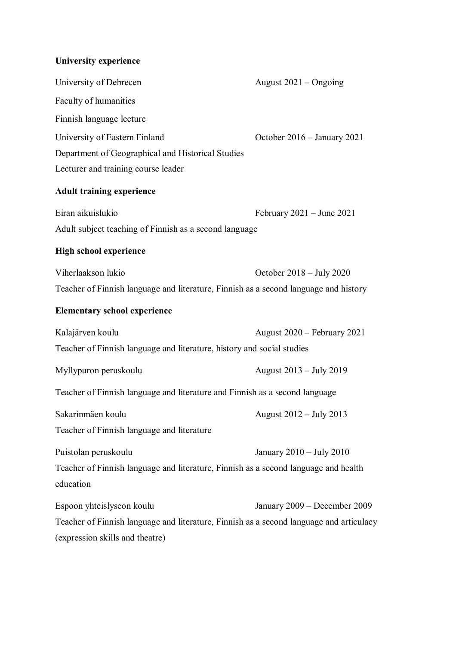# **University experience**

| University of Debrecen                                                                  | August 2021 - Ongoing         |  |
|-----------------------------------------------------------------------------------------|-------------------------------|--|
| Faculty of humanities                                                                   |                               |  |
| Finnish language lecture                                                                |                               |  |
| University of Eastern Finland                                                           | October 2016 - January 2021   |  |
| Department of Geographical and Historical Studies                                       |                               |  |
| Lecturer and training course leader                                                     |                               |  |
| <b>Adult training experience</b>                                                        |                               |  |
| Eiran aikuislukio                                                                       | February $2021 -$ June $2021$ |  |
| Adult subject teaching of Finnish as a second language                                  |                               |  |
| <b>High school experience</b>                                                           |                               |  |
| Viherlaakson lukio                                                                      | October $2018 - July 2020$    |  |
| Teacher of Finnish language and literature, Finnish as a second language and history    |                               |  |
| <b>Elementary school experience</b>                                                     |                               |  |
| Kalajärven koulu                                                                        | August 2020 – February 2021   |  |
| Teacher of Finnish language and literature, history and social studies                  |                               |  |
| Myllypuron peruskoulu                                                                   | August 2013 – July 2019       |  |
| Teacher of Finnish language and literature and Finnish as a second language             |                               |  |
| Sakarinmäen koulu                                                                       | August 2012 – July 2013       |  |
| Teacher of Finnish language and literature                                              |                               |  |
| Puistolan peruskoulu                                                                    | January $2010 -$ July $2010$  |  |
| Teacher of Finnish language and literature, Finnish as a second language and health     |                               |  |
| education                                                                               |                               |  |
| Espoon yhteislyseon koulu                                                               | January 2009 – December 2009  |  |
| Teacher of Finnish language and literature, Finnish as a second language and articulacy |                               |  |
|                                                                                         |                               |  |

(expression skills and theatre)